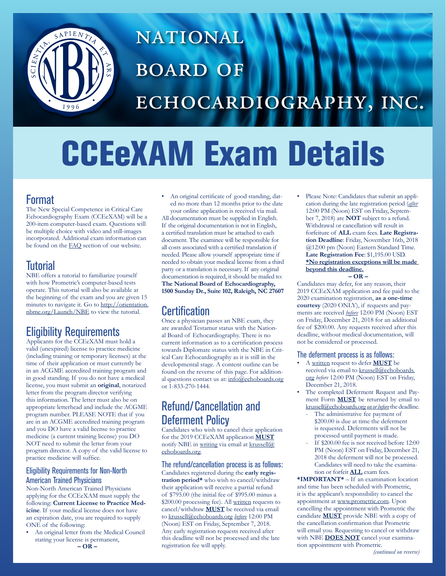

## **NATIONAL BOARD OF** ECHOCARDIOGRAPHY, INC.

# CCEeXAM Exam Details

## Format

The New Special Competence in Critical Care Echocardiography Exam (CCEeXAM) will be a 200-item computer-based exam. Questions will be multiple choice with video and still-images incorporated. Additional exam information can be found on the [FAQ](http://echoboards.org/EchoBoards/FAQ.aspx) section of our website.

## Tutorial

NBE offers a tutorial to familiarize yourself with how Prometric's computer-based tests operate. This tutorial will also be available at the beginning of the exam and you are given 15 minutes to navigate it. Go to [http://orientation.](http://orientation.nbme.org/Launch/NBE) [nbme.org/Launch/NBE](http://orientation.nbme.org/Launch/NBE) to view the tutorial.

## Eligibility Requirements

Applicants for the CCEeXAM must hold a valid (unexpired) license to practice medicine (including training or temporary licenses) at the time of their application or must currently be in an ACGME accredited training program and in good standing. If you do not have a medical license, you must submit an **original**, notarized letter from the program director verifying this information. The letter must also be on appropriate letterhead and include the ACGME program number. PLEASE NOTE that if you are in an ACGME accredited training program and you DO have a valid license to practice medicine (a current training license) you DO NOT need to submit the letter from your program director. A copy of the valid license to practice medicine will suffice.

#### Eligibility Requirements for Non-North American Trained Physicians

Non-North American Trained Physicians applying for the CCEeXAM must supply the following: **Current License to Practice Medicine**. If your medical license does not have an expiration date, you are required to supply ONE of the following:

• An original letter from the Medical Council stating your license is permanent,

• An original certificate of good standing, dated no more than 12 months prior to the date your online application is received via mail. All documentation must be supplied in English. If the original documentation is not in English, a certified translation must be attached to each document. The examinee will be responsible for all costs associated with a certified translation if needed. Please allow yourself appropriate time if needed to obtain your medical license from a third party or a translation is necessary. If any original documentation is required, it should be mailed to: **The National Board of Echocardiography, 1500 Sunday Dr., Suite 102, Raleigh, NC 27607**

## **Certification**

Once a physician passes an NBE exam, they are awarded Testamur status with the National Board of Echocardiography. There is no current information as to a certification process towards Diplomate status with the NBE in Critical Care Echocardiography as it is still in the developmental stage. A content outline can be found on the reverse of this page. For additional questions contact us at: [info@echoboards.org](mailto:mailto:info%40echoboards.org?subject=) or 1-833-270-1444.

## Refund/Cancellation and Deferment Policy

Candidates who wish to cancel their application for the 2019 CCEeXAM application **MUST** notify NBE in writing via email at [krussell@](mailto:mailto:krussell%40echoboards.org?subject=) [echoboards.org](mailto:mailto:krussell%40echoboards.org?subject=).

The refund/cancellation process is as follows: Candidates registered during the **early registration period\*** who wish to cancel/withdraw their application will receive a partial refund of \$795.00 (the initial fee of \$995.00 minus a \$200.00 processing fee). All written requests to cancel/withdraw **MUST** be received via email to [krussell@echoboards.org](mailto:mailto:krussell%40echoboards.org?subject=) *before* 12:00 PM (Noon) EST on Friday, September 7, 2018. Any early registration requests received after this deadline will not be processed and the late registration fee will apply.

• Please Note: Candidates that submit an application during the late registration period (*after* 12:00 PM (Noon) EST on Friday, September 7, 2018) are **NOT** subject to a refund. Withdrawal or cancellation will result in forfeiture of **ALL** exam fees. **Late Registration Deadline**: Friday, November 16th, 2018 @12:00 pm (Noon) Eastern Standard Time. **Late Registration Fee**: \$1,195.00 USD. **\*No registration exceptions will be made beyond this deadline.**

**– OR –** 

Candidates may defer, for any reason, their 2019 CCEeXAM application and fee paid to the 2020 examination registration, **as a one-time courtesy** (2020 ONLY), if requests and payments are received *before* 12:00 PM (Noon) EST on Friday, December 21, 2018 for an additional fee of \$200.00. Any requests received after this deadline, without medical documentation, will not be considered or processed.

#### The deferment process is as follows:

- A written request to defer **MUST** be received via email to [krussell@echoboards.](mailto:mailto:krussell%40echoboards.org?subject=) [org](mailto:mailto:krussell%40echoboards.org?subject=) *before* 12:00 PM (Noon) EST on Friday, December 21, 2018.
- The completed Deferment Request and Payment Form **MUST** be returned by email to [krussell@echoboards.org](mailto:mailto:krussell%40echoboards.org?subject=) *on or before* the deadline.
	- The administrative fee payment of \$200.00 is due at time the deferment is requested. Deferments will not be processed until payment is made.
	- If \$200.00 fee is not received before 12:00 PM (Noon) EST on Friday, December 21, 2018 the deferment will not be processed. Candidates will need to take the examination or forfeit **ALL** exam fees.

**\*IMPORTANT\*** – If an examination location and time has been scheduled with Prometric, it is the applicant's responsibility to cancel the appointment at [www.prometric.com.](www.prometric.com) Upon cancelling the appointment with Prometric the candidate **MUST** provide NBE with a copy of the cancellation confirmation that Prometric will email you. Requesting to cancel or withdraw with NBE **DOES NOT** cancel your examination appointment with Prometric.